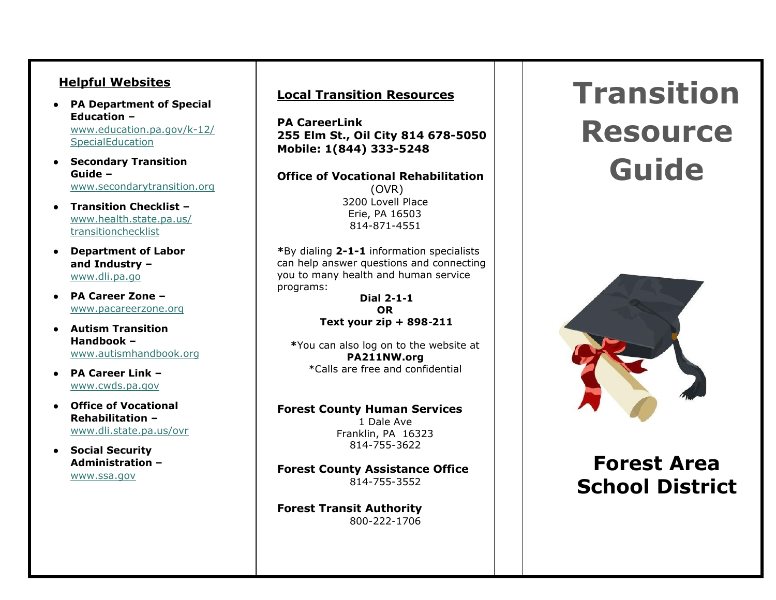#### **Helpful Websites**

- PA Department of Special **E d u c a t i o n –** ww[w.e](http://www.education.pa.gov/k-12/SpecialEducation)ducation.pa.gov/k-12/ Spe[cialE](http://www.education.pa.gov/k-12/SpecialEducation)ducation
- Secondary Transition **G u i d e –** www.secondarytran[sitio](http://www.secondarytransition.org/)n.org
- Transition Checklist ww[w.h](http://www.health.state.pa.us/transitionchecklist)ealth.state.pa.us/ tran[sitio](http://www.health.state.pa.us/transitionchecklist)nchecklist
- **Department of Labor** and Industry – ww[w.dli.p](http://www.dli.pa.go/)a.go
- **P A C a r e e r Z o n e –** ww[w.p](http://www.pacareerzone.org/)acareerzone.org
- Autism Transition **H a n d b o o k –** ww[w.a](http://www.autismhandbook.org/)utismhandbook.org
- **P A C a r e e r L i n k –** ww[w.c](http://www.cwds.pa.gov/)wds.pa.gov
- Office of Vocational **Rehabilitation** ww[w.dli.s](http://www.dli.state.pa.us/ovr)tate.pa.us/ovr
- **•** Social Security **A d m i n i s t r a t i o n –** ww[w.s](http://www.ssa.gov/)sa.gov

#### **Local Transition Resources**

**PA CareerLink 255 Elm St., Oil City 814 678- 5 0 5 0 Mobile: 1(844) 333-5248** 

**Office of Vocational Rehabilitation** ( O V R ) 3200 Lovell Place Erie, PA 16503 814-871-4551

\*By dialing 2-1-1 information specialists can help answer questions and connecting you to many health and human service programs:

> **D i a l 2** - **1** - **1 O R T e x t y o u r z i p + 8 9 8** - **2 1 1**

\*You can also log on to the website at **P A 2 1 1 N W . o r g** \*Calls are free and confidential

#### **Forest County Human Services**

1 Dale Ave Franklin, PA 16323 814-755-3622

**Forest County Assistance Office** 814-755-3552

**Forest Transit Authority** 800-222-1706

# **Transition Resource Guide**



## **Forest Area School District**